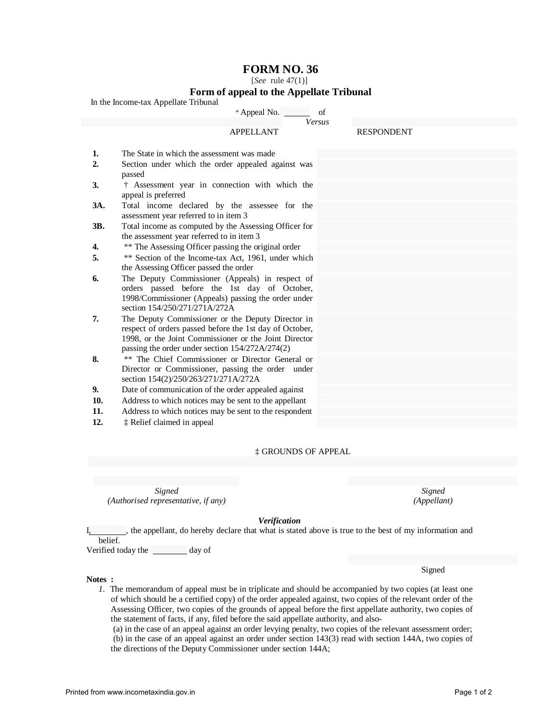# **FORM NO. 36**

[*See* rule 47(1)]

## **Form of appeal to the Appellate Tribunal**

In the Income-tax Appellate Tribunal

|                | * Appeal No.                                                                                       | of            |                   |  |
|----------------|----------------------------------------------------------------------------------------------------|---------------|-------------------|--|
|                |                                                                                                    | <b>Versus</b> |                   |  |
|                | <b>APPELLANT</b>                                                                                   |               | <b>RESPONDENT</b> |  |
|                |                                                                                                    |               |                   |  |
| 1.             | The State in which the assessment was made                                                         |               |                   |  |
| $\overline{2}$ | Section under which the order appealed against was<br>passed                                       |               |                   |  |
| 3.             | † Assessment year in connection with which the<br>appeal is preferred                              |               |                   |  |
| 3A.            | Total income declared by the assessee for the<br>assessment year referred to in item 3             |               |                   |  |
| 3B.            | Total income as computed by the Assessing Officer for<br>the assessment year referred to in item 3 |               |                   |  |
| 4.             | ** The Assessing Officer passing the original order                                                |               |                   |  |
| 5.             | ** Section of the Income-tax Act, 1961, under which                                                |               |                   |  |
|                | the Assessing Officer passed the order                                                             |               |                   |  |
| 6.             | The Deputy Commissioner (Appeals) in respect of                                                    |               |                   |  |
|                | orders passed before the 1st day of October,                                                       |               |                   |  |
|                | 1998/Commissioner (Appeals) passing the order under<br>section 154/250/271/271A/272A               |               |                   |  |
| 7.             | The Deputy Commissioner or the Deputy Director in                                                  |               |                   |  |
|                | respect of orders passed before the 1st day of October,                                            |               |                   |  |
|                | 1998, or the Joint Commissioner or the Joint Director                                              |               |                   |  |
|                | passing the order under section 154/272A/274(2)                                                    |               |                   |  |
| 8.             | ** The Chief Commissioner or Director General or                                                   |               |                   |  |
|                | Director or Commissioner, passing the order under                                                  |               |                   |  |
| 9.             | section 154(2)/250/263/271/271A/272A<br>Date of communication of the order appealed against        |               |                   |  |
| 10.            |                                                                                                    |               |                   |  |
|                | Address to which notices may be sent to the appellant                                              |               |                   |  |
| 11.            | Address to which notices may be sent to the respondent                                             |               |                   |  |
| 12.            | ‡ Relief claimed in appeal                                                                         |               |                   |  |

### ‡ GROUNDS OF APPEAL

*Signed Signed (Authorised representative, if any) (Appellant)* 

Signed

#### *Verification*

I<sub>1</sub> , the appellant, do hereby declare that what is stated above is true to the best of my information and belief.

Verified today the day of

#### **Notes :**

*1.* The memorandum of appeal must be in triplicate and should be accompanied by two copies (at least one of which should be a certified copy) of the order appealed against, two copies of the relevant order of the Assessing Officer, two copies of the grounds of appeal before the first appellate authority, two copies of the statement of facts, if any, filed before the said appellate authority, and also-

(a) in the case of an appeal against an order levying penalty, two copies of the relevant assessment order; (b) in the case of an appeal against an order under section 143(3) read with section 144A, two copies of the directions of the Deputy Commissioner under section 144A;